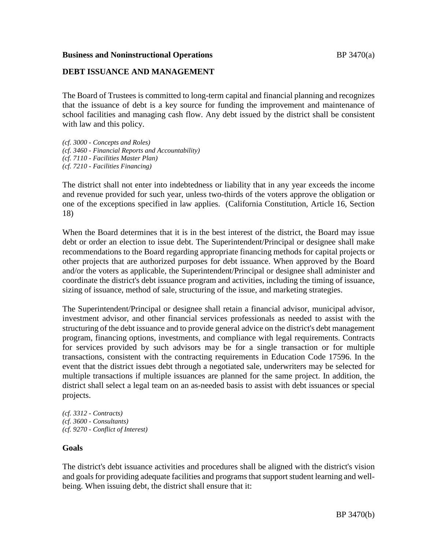### **Business and Noninstructional Operations BP** 3470(a)

## **DEBT ISSUANCE AND MANAGEMENT**

The Board of Trustees is committed to long-term capital and financial planning and recognizes that the issuance of debt is a key source for funding the improvement and maintenance of school facilities and managing cash flow. Any debt issued by the district shall be consistent with law and this policy.

*(cf. 3000 - Concepts and Roles) (cf. 3460 - Financial Reports and Accountability) (cf. 7110 - Facilities Master Plan) (cf. 7210 - Facilities Financing)*

The district shall not enter into indebtedness or liability that in any year exceeds the income and revenue provided for such year, unless two-thirds of the voters approve the obligation or one of the exceptions specified in law applies. (California Constitution, Article 16, Section 18)

When the Board determines that it is in the best interest of the district, the Board may issue debt or order an election to issue debt. The Superintendent/Principal or designee shall make recommendations to the Board regarding appropriate financing methods for capital projects or other projects that are authorized purposes for debt issuance. When approved by the Board and/or the voters as applicable, the Superintendent/Principal or designee shall administer and coordinate the district's debt issuance program and activities, including the timing of issuance, sizing of issuance, method of sale, structuring of the issue, and marketing strategies.

The Superintendent/Principal or designee shall retain a financial advisor, municipal advisor, investment advisor, and other financial services professionals as needed to assist with the structuring of the debt issuance and to provide general advice on the district's debt management program, financing options, investments, and compliance with legal requirements. Contracts for services provided by such advisors may be for a single transaction or for multiple transactions, consistent with the contracting requirements in Education Code 17596. In the event that the district issues debt through a negotiated sale, underwriters may be selected for multiple transactions if multiple issuances are planned for the same project. In addition, the district shall select a legal team on an as-needed basis to assist with debt issuances or special projects.

*(cf. 3312 - Contracts) (cf. 3600 - Consultants) (cf. 9270 - Conflict of Interest)*

## **Goals**

The district's debt issuance activities and procedures shall be aligned with the district's vision and goals for providing adequate facilities and programs that support student learning and wellbeing. When issuing debt, the district shall ensure that it: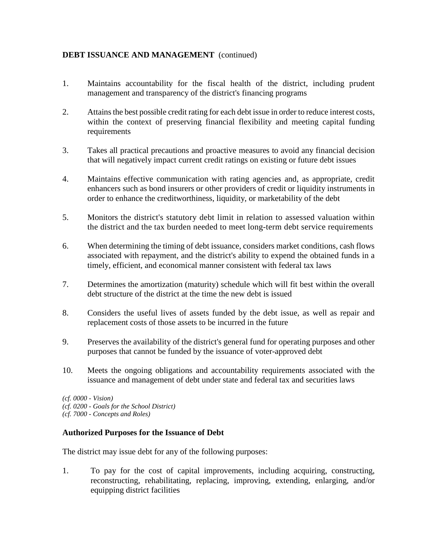- 1. Maintains accountability for the fiscal health of the district, including prudent management and transparency of the district's financing programs
- 2. Attains the best possible credit rating for each debt issue in order to reduce interest costs, within the context of preserving financial flexibility and meeting capital funding requirements
- 3. Takes all practical precautions and proactive measures to avoid any financial decision that will negatively impact current credit ratings on existing or future debt issues
- 4. Maintains effective communication with rating agencies and, as appropriate, credit enhancers such as bond insurers or other providers of credit or liquidity instruments in order to enhance the creditworthiness, liquidity, or marketability of the debt
- 5. Monitors the district's statutory debt limit in relation to assessed valuation within the district and the tax burden needed to meet long-term debt service requirements
- 6. When determining the timing of debt issuance, considers market conditions, cash flows associated with repayment, and the district's ability to expend the obtained funds in a timely, efficient, and economical manner consistent with federal tax laws
- 7. Determines the amortization (maturity) schedule which will fit best within the overall debt structure of the district at the time the new debt is issued
- 8. Considers the useful lives of assets funded by the debt issue, as well as repair and replacement costs of those assets to be incurred in the future
- 9. Preserves the availability of the district's general fund for operating purposes and other purposes that cannot be funded by the issuance of voter-approved debt
- 10. Meets the ongoing obligations and accountability requirements associated with the issuance and management of debt under state and federal tax and securities laws

*(cf. 0000 - Vision) (cf. 0200 - Goals for the School District) (cf. 7000 - Concepts and Roles)*

# **Authorized Purposes for the Issuance of Debt**

The district may issue debt for any of the following purposes:

1. To pay for the cost of capital improvements, including acquiring, constructing, reconstructing, rehabilitating, replacing, improving, extending, enlarging, and/or equipping district facilities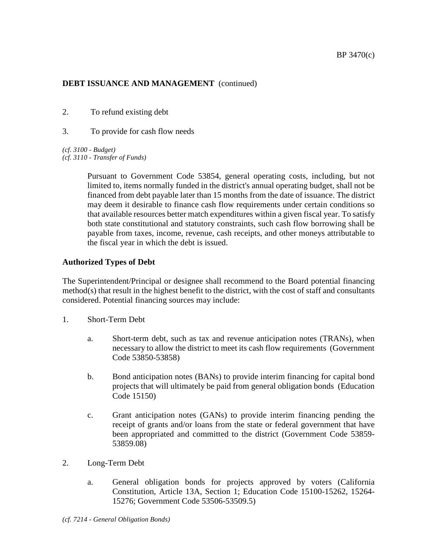- 2. To refund existing debt
- 3. To provide for cash flow needs

*(cf. 3100 - Budget) (cf. 3110 - Transfer of Funds)*

> Pursuant to Government Code 53854, general operating costs, including, but not limited to, items normally funded in the district's annual operating budget, shall not be financed from debt payable later than 15 months from the date of issuance. The district may deem it desirable to finance cash flow requirements under certain conditions so that available resources better match expenditures within a given fiscal year. To satisfy both state constitutional and statutory constraints, such cash flow borrowing shall be payable from taxes, income, revenue, cash receipts, and other moneys attributable to the fiscal year in which the debt is issued.

# **Authorized Types of Debt**

The Superintendent/Principal or designee shall recommend to the Board potential financing method(s) that result in the highest benefit to the district, with the cost of staff and consultants considered. Potential financing sources may include:

- 1. Short-Term Debt
	- a. Short-term debt, such as tax and revenue anticipation notes (TRANs), when necessary to allow the district to meet its cash flow requirements (Government Code 53850-53858)
	- b. Bond anticipation notes (BANs) to provide interim financing for capital bond projects that will ultimately be paid from general obligation bonds (Education Code 15150)
	- c. Grant anticipation notes (GANs) to provide interim financing pending the receipt of grants and/or loans from the state or federal government that have been appropriated and committed to the district (Government Code 53859- 53859.08)
- 2. Long-Term Debt
	- a. General obligation bonds for projects approved by voters (California Constitution, Article 13A, Section 1; Education Code 15100-15262, 15264- 15276; Government Code 53506-53509.5)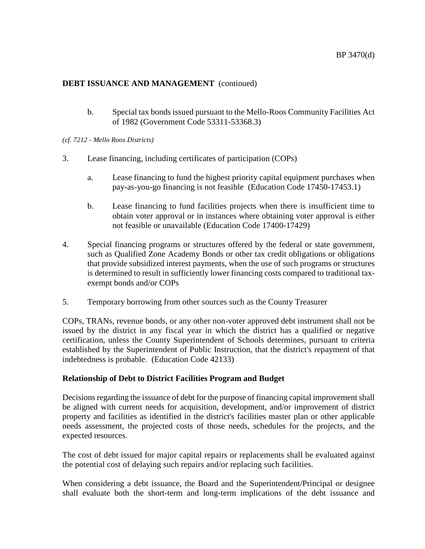b. Special tax bonds issued pursuant to the Mello-Roos Community Facilities Act of 1982 (Government Code 53311-53368.3)

*(cf. 7212 - Mello Roos Districts)*

- 3. Lease financing, including certificates of participation (COPs)
	- a. Lease financing to fund the highest priority capital equipment purchases when pay-as-you-go financing is not feasible (Education Code 17450-17453.1)
	- b. Lease financing to fund facilities projects when there is insufficient time to obtain voter approval or in instances where obtaining voter approval is either not feasible or unavailable (Education Code 17400-17429)
- 4. Special financing programs or structures offered by the federal or state government, such as Qualified Zone Academy Bonds or other tax credit obligations or obligations that provide subsidized interest payments, when the use of such programs or structures is determined to result in sufficiently lower financing costs compared to traditional taxexempt bonds and/or COPs
- 5. Temporary borrowing from other sources such as the County Treasurer

COPs, TRANs, revenue bonds, or any other non-voter approved debt instrument shall not be issued by the district in any fiscal year in which the district has a qualified or negative certification, unless the County Superintendent of Schools determines, pursuant to criteria established by the Superintendent of Public Instruction, that the district's repayment of that indebtedness is probable. (Education Code 42133)

## **Relationship of Debt to District Facilities Program and Budget**

Decisions regarding the issuance of debt for the purpose of financing capital improvement shall be aligned with current needs for acquisition, development, and/or improvement of district property and facilities as identified in the district's facilities master plan or other applicable needs assessment, the projected costs of those needs, schedules for the projects, and the expected resources.

The cost of debt issued for major capital repairs or replacements shall be evaluated against the potential cost of delaying such repairs and/or replacing such facilities.

When considering a debt issuance, the Board and the Superintendent/Principal or designee shall evaluate both the short-term and long-term implications of the debt issuance and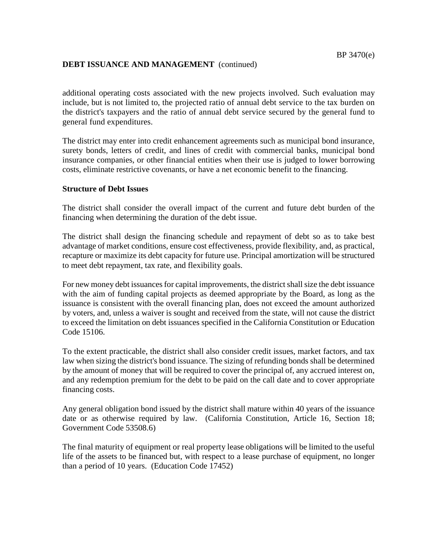additional operating costs associated with the new projects involved. Such evaluation may include, but is not limited to, the projected ratio of annual debt service to the tax burden on the district's taxpayers and the ratio of annual debt service secured by the general fund to general fund expenditures.

The district may enter into credit enhancement agreements such as municipal bond insurance, surety bonds, letters of credit, and lines of credit with commercial banks, municipal bond insurance companies, or other financial entities when their use is judged to lower borrowing costs, eliminate restrictive covenants, or have a net economic benefit to the financing.

### **Structure of Debt Issues**

The district shall consider the overall impact of the current and future debt burden of the financing when determining the duration of the debt issue.

The district shall design the financing schedule and repayment of debt so as to take best advantage of market conditions, ensure cost effectiveness, provide flexibility, and, as practical, recapture or maximize its debt capacity for future use. Principal amortization will be structured to meet debt repayment, tax rate, and flexibility goals.

For new money debt issuances for capital improvements, the district shall size the debt issuance with the aim of funding capital projects as deemed appropriate by the Board, as long as the issuance is consistent with the overall financing plan, does not exceed the amount authorized by voters, and, unless a waiver is sought and received from the state, will not cause the district to exceed the limitation on debt issuances specified in the California Constitution or Education Code 15106.

To the extent practicable, the district shall also consider credit issues, market factors, and tax law when sizing the district's bond issuance. The sizing of refunding bonds shall be determined by the amount of money that will be required to cover the principal of, any accrued interest on, and any redemption premium for the debt to be paid on the call date and to cover appropriate financing costs.

Any general obligation bond issued by the district shall mature within 40 years of the issuance date or as otherwise required by law. (California Constitution, Article 16, Section 18; Government Code 53508.6)

The final maturity of equipment or real property lease obligations will be limited to the useful life of the assets to be financed but, with respect to a lease purchase of equipment, no longer than a period of 10 years. (Education Code 17452)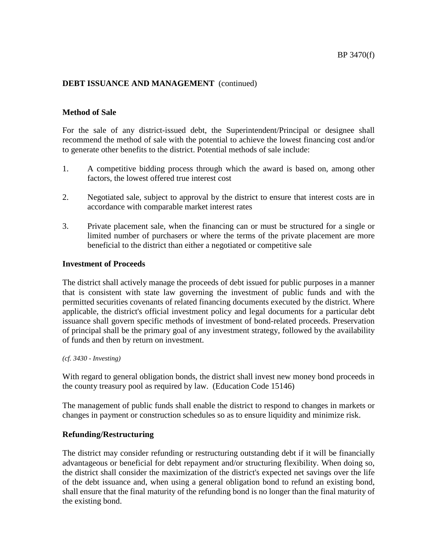### **Method of Sale**

For the sale of any district-issued debt, the Superintendent/Principal or designee shall recommend the method of sale with the potential to achieve the lowest financing cost and/or to generate other benefits to the district. Potential methods of sale include:

- 1. A competitive bidding process through which the award is based on, among other factors, the lowest offered true interest cost
- 2. Negotiated sale, subject to approval by the district to ensure that interest costs are in accordance with comparable market interest rates
- 3. Private placement sale, when the financing can or must be structured for a single or limited number of purchasers or where the terms of the private placement are more beneficial to the district than either a negotiated or competitive sale

#### **Investment of Proceeds**

The district shall actively manage the proceeds of debt issued for public purposes in a manner that is consistent with state law governing the investment of public funds and with the permitted securities covenants of related financing documents executed by the district. Where applicable, the district's official investment policy and legal documents for a particular debt issuance shall govern specific methods of investment of bond-related proceeds. Preservation of principal shall be the primary goal of any investment strategy, followed by the availability of funds and then by return on investment.

*(cf. 3430 - Investing)*

With regard to general obligation bonds, the district shall invest new money bond proceeds in the county treasury pool as required by law. (Education Code 15146)

The management of public funds shall enable the district to respond to changes in markets or changes in payment or construction schedules so as to ensure liquidity and minimize risk.

## **Refunding/Restructuring**

The district may consider refunding or restructuring outstanding debt if it will be financially advantageous or beneficial for debt repayment and/or structuring flexibility. When doing so, the district shall consider the maximization of the district's expected net savings over the life of the debt issuance and, when using a general obligation bond to refund an existing bond, shall ensure that the final maturity of the refunding bond is no longer than the final maturity of the existing bond.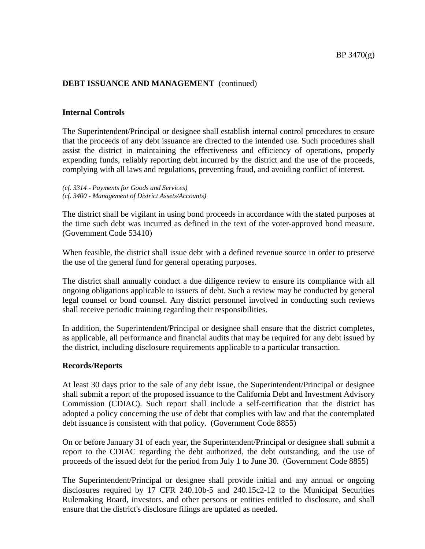### **Internal Controls**

The Superintendent/Principal or designee shall establish internal control procedures to ensure that the proceeds of any debt issuance are directed to the intended use. Such procedures shall assist the district in maintaining the effectiveness and efficiency of operations, properly expending funds, reliably reporting debt incurred by the district and the use of the proceeds, complying with all laws and regulations, preventing fraud, and avoiding conflict of interest.

*(cf. 3314 - Payments for Goods and Services) (cf. 3400 - Management of District Assets/Accounts)*

The district shall be vigilant in using bond proceeds in accordance with the stated purposes at the time such debt was incurred as defined in the text of the voter-approved bond measure. (Government Code 53410)

When feasible, the district shall issue debt with a defined revenue source in order to preserve the use of the general fund for general operating purposes.

The district shall annually conduct a due diligence review to ensure its compliance with all ongoing obligations applicable to issuers of debt. Such a review may be conducted by general legal counsel or bond counsel. Any district personnel involved in conducting such reviews shall receive periodic training regarding their responsibilities.

In addition, the Superintendent/Principal or designee shall ensure that the district completes, as applicable, all performance and financial audits that may be required for any debt issued by the district, including disclosure requirements applicable to a particular transaction.

#### **Records/Reports**

At least 30 days prior to the sale of any debt issue, the Superintendent/Principal or designee shall submit a report of the proposed issuance to the California Debt and Investment Advisory Commission (CDIAC). Such report shall include a self-certification that the district has adopted a policy concerning the use of debt that complies with law and that the contemplated debt issuance is consistent with that policy. (Government Code 8855)

On or before January 31 of each year, the Superintendent/Principal or designee shall submit a report to the CDIAC regarding the debt authorized, the debt outstanding, and the use of proceeds of the issued debt for the period from July 1 to June 30. (Government Code 8855)

The Superintendent/Principal or designee shall provide initial and any annual or ongoing disclosures required by 17 CFR 240.10b-5 and 240.15c2-12 to the Municipal Securities Rulemaking Board, investors, and other persons or entities entitled to disclosure, and shall ensure that the district's disclosure filings are updated as needed.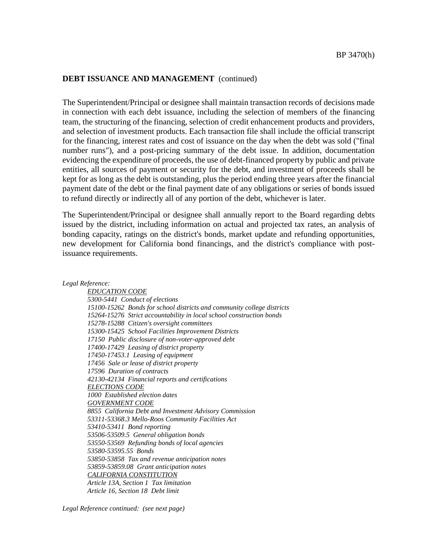The Superintendent/Principal or designee shall maintain transaction records of decisions made in connection with each debt issuance, including the selection of members of the financing team, the structuring of the financing, selection of credit enhancement products and providers, and selection of investment products. Each transaction file shall include the official transcript for the financing, interest rates and cost of issuance on the day when the debt was sold ("final number runs"), and a post-pricing summary of the debt issue. In addition, documentation evidencing the expenditure of proceeds, the use of debt-financed property by public and private entities, all sources of payment or security for the debt, and investment of proceeds shall be kept for as long as the debt is outstanding, plus the period ending three years after the financial payment date of the debt or the final payment date of any obligations or series of bonds issued to refund directly or indirectly all of any portion of the debt, whichever is later.

The Superintendent/Principal or designee shall annually report to the Board regarding debts issued by the district, including information on actual and projected tax rates, an analysis of bonding capacity, ratings on the district's bonds, market update and refunding opportunities, new development for California bond financings, and the district's compliance with postissuance requirements.

*Legal Reference:*

*EDUCATION CODE 5300-5441 Conduct of elections [15100-](http://gamutonline.net/displayPolicy/136195/7)15262 Bonds for school districts and community college districts [15264-](http://gamutonline.net/displayPolicy/225972/7)15276 Strict accountability in local school construction bonds 15278-15288 Citizen's oversight committees 15300-15425 School Facilities Improvement Districts 17150 Public disclosure of non-voter-approved debt 17400-17429 Leasing of district property 17450-17453.1 Leasing of equipment 17456 Sale or lease of district property 17596 Duration of contracts 42130-42134 Financial reports and certifications ELECTIONS CODE 1000 Established election dates GOVERNMENT CODE 8855 California Debt and Investment Advisory Commission 53311-53368.3 Mello-Roos Community Facilities Act 53410-53411 Bond reporting 53506-53509.5 General obligation bonds 53550-53569 Refunding bonds of local agencies [53580-](http://gamutonline.net/displayPolicy/421279/7)53595.55 Bonds 53850-53858 Tax and revenue anticipation notes 53859-53859.08 Grant anticipation notes CALIFORNIA CONSTITUTION Article 13A, Section 1 Tax limitation Article 16, Section 18 Debt limit*